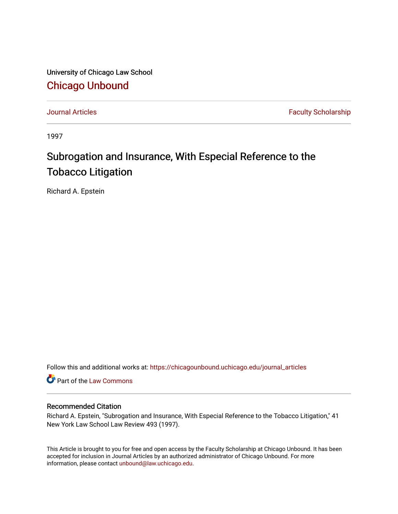University of Chicago Law School [Chicago Unbound](https://chicagounbound.uchicago.edu/)

[Journal Articles](https://chicagounbound.uchicago.edu/journal_articles) **Faculty Scholarship Journal Articles** 

1997

## Subrogation and Insurance, With Especial Reference to the Tobacco Litigation

Richard A. Epstein

Follow this and additional works at: [https://chicagounbound.uchicago.edu/journal\\_articles](https://chicagounbound.uchicago.edu/journal_articles?utm_source=chicagounbound.uchicago.edu%2Fjournal_articles%2F6599&utm_medium=PDF&utm_campaign=PDFCoverPages) 

Part of the [Law Commons](http://network.bepress.com/hgg/discipline/578?utm_source=chicagounbound.uchicago.edu%2Fjournal_articles%2F6599&utm_medium=PDF&utm_campaign=PDFCoverPages)

## Recommended Citation

Richard A. Epstein, "Subrogation and Insurance, With Especial Reference to the Tobacco Litigation," 41 New York Law School Law Review 493 (1997).

This Article is brought to you for free and open access by the Faculty Scholarship at Chicago Unbound. It has been accepted for inclusion in Journal Articles by an authorized administrator of Chicago Unbound. For more information, please contact [unbound@law.uchicago.edu](mailto:unbound@law.uchicago.edu).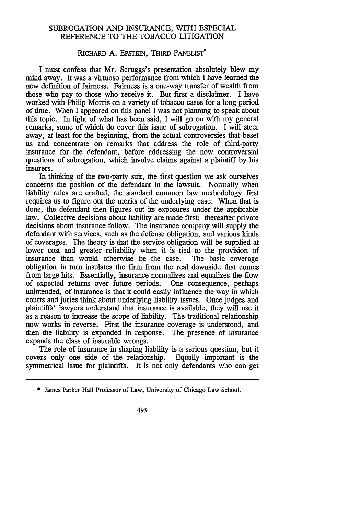## SUBROGATION AND INSURANCE, WITH ESPECIAL REFERENCE TO THE TOBACCO LITIGATION

## RICHARD A. EPSTEIN, THIRD PANELIST<sup>\*</sup>

I must confess that Mr. Scruggs's presentation absolutely blew my mind away. It was a virtuoso performance from which I have learned the new definition of fairness. Fairness is a one-way transfer of wealth from those who pay to those who receive it. But first a disclaimer. I have worked with Philip Morris on a variety of tobacco cases for a long period of time. When I appeared on this panel I was not planning to speak about this topic. In light of what has been said, I will go on with my general remarks, some of which do cover this issue of subrogation. I will steer away, at least for the beginning, from the actual controversies that beset us and concentrate on remarks that address the role of third-party insurance for the defendant, before addressing the now controversial questions of subrogation, which involve claims against a plaintiff by his insurers.

In thinking of the two-party suit, the first question we ask ourselves concerns the position of the defendant in the lawsuit. Normally when liability rules are crafted, the standard common law methodology first requires us to figure out the merits of the underlying case. When that is done, the defendant then figures out its exposures under the applicable law. Collective decisions about liability are made first; thereafter private decisions about insurance follow. The insurance company will supply the defendant with services, such as the defense obligation, and various kinds of coverages. The theory is that the service obligation will be supplied at lower cost and greater reliability when it is tied to the provision of insurance than would otherwise be the case. The basic coverage obligation in turn insulates the firm from the real downside that comes from large hits. Essentially, insurance normalizes and equalizes the flow of expected returns over future periods. One consequence, perhaps unintended, of insurance is that it could easily influence the way in which courts and juries think about underlying liability issues. Once judges and plaintiffs' lawyers understand that insurance is available, they will use it as a reason to increase the scope of liability. The traditional relationship now works in reverse. First the insurance coverage is understood, and then the liability is expanded in response. The presence of insurance expands the class of insurable wrongs.

The role of insurance in shaping liability is a serious question, but it covers only one side of the relationship. Equally important is the symmetrical issue for plaintiffs. It is not only defendants who can get

<sup>\*</sup> James Parker Hall Professor of Law, University of Chicago Law School.

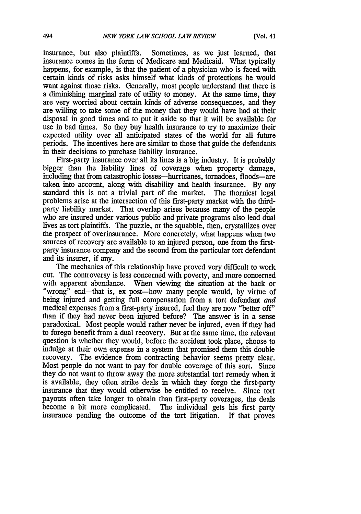insurance, but also plaintiffs. Sometimes, as we just learned, that insurance comes in the form of Medicare and Medicaid. What typically happens, for example, is that the patient of a physician who is faced with certain kinds of risks asks himself what kinds of protections he would want against those risks. Generally, most people understand that there is a diminishing marginal rate of utility to money. At the same time, they are very worried about certain kinds of adverse consequences, and they are willing to take some of the money that they would have had at their disposal in good times and to put it aside so that it will be available for use in bad times. So they buy health insurance to try to maximize their expected utility over all anticipated states of the world for all future periods. The incentives here are similar to those that guide the defendants in their decisions to purchase liability insurance.

First-party insurance over all its lines is a big industry. It is probably bigger than the liability lines of coverage when property damage, including that from catastrophic losses-hurricanes, tornadoes, floods-are taken into account, along with disability and health insurance. By any standard this is not a trivial part of the market. The thorniest legal problems arise at the intersection of this first-party market with the thirdparty liability market. That overlap arises because many of the people who are insured under various public and private programs also lead dual lives as tort plaintiffs. The puzzle, or the squabble, then, crystallizes over the prospect of overinsurance. More concretely, what happens when two sources of recovery are available to an injured person, one from the firstparty insurance company and the second from the particular tort defendant and its insurer, if any.

The mechanics of this relationship have proved very difficult to work out. The controversy is less concerned with poverty, and more concerned with apparent abundance. When viewing the situation at the back or "wrong" end-that is, ex post--how many people would, by virtue of being injured and getting full compensation from a tort defendant *and* medical expenses from a first-party insured, feel they are now "better off" than if they had never been injured before? The answer is in a sense paradoxical. Most people would rather never be injured, even if they had to forego benefit from a dual recovery. But at the same time, the relevant question is whether they would, before the accident took place, choose to indulge at their own expense in a system that promised them this double recovery. The evidence from contracting behavior seems pretty clear. Most people do not want to pay for double coverage of this sort. Since they do not want to throw away the more substantial tort remedy when it is available, they often strike deals in which they forgo the first-party insurance that they would otherwise be entitled to receive. Since tort payouts often take longer to obtain than first-party coverages, the deals become a bit more complicated. The individual gets his first party insurance pending the outcome of the tort litigation. If that proves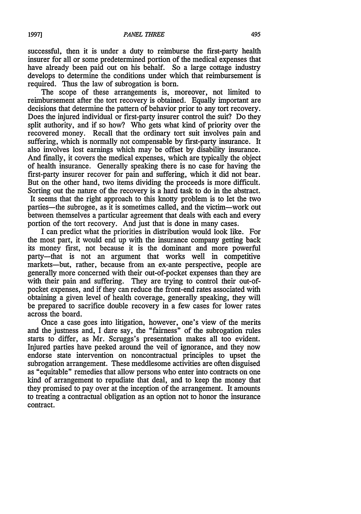successful, then it is under a duty to reimburse the first-party health insurer for all or some predetermined portion of the medical expenses that have already been paid out on his behalf. So a large cottage industry develops to determine the conditions under which that reimbursement is required. Thus the law of subrogation is born.

The scope of these arrangements is, moreover, not limited to reimbursement after the tort recovery is obtained. Equally important are decisions that determine the pattern of behavior prior to any tort recovery. Does the injured individual or first-party insurer control the suit? Do they split authority, and if so how? Who gets what kind of priority over the recovered money. Recall that the ordinary tort suit involves pain and suffering, which is normally not compensable by first-party insurance. It also involves lost earnings which may be offset by disability insurance. And finally, it covers the medical expenses, which are typically the object of health insurance. Generally speaking there is no case for having the first-party insurer recover for pain and suffering, which it did not bear. But on the other hand, two items dividing the proceeds is more difficult. Sorting out the nature of the recovery is a hard task to do in the abstract. It seems that the right approach to this knotty problem is to let the two parties—the subrogee, as it is sometimes called, and the victim—work out between themselves a particular agreement that deals with each and every portion of the tort recovery. And just that is done in many cases.

I can predict what the priorities in distribution would look like. For the most part, it would end up with the insurance company getting back its money first, not because it is the dominant and more powerful party-that is not an argument that works well in competitive markets-but, rather, because from an ex-ante perspective, people are generally more concerned with their out-of-pocket expenses than they are with their pain and suffering. They are trying to control their out-ofpocket expenses, and if they can reduce the front-end rates associated with obtaining a given level of health coverage, generally speaking, they will be prepared to sacrifice double recovery in a few cases for lower rates across the board.

Once a case goes into litigation, however, one's view of the merits and the justness and, I dare say, the "fairness" of the subrogation rules starts to differ, as Mr. Scruggs's presentation makes all too evident. Injured parties have peeked around the veil of ignorance, and they now endorse state intervention on noncontractual principles to upset the subrogation arrangement. These meddlesome activities are often disguised as "equitable" remedies that allow persons who enter into contracts on one kind of arrangement to repudiate that deal, and to keep the money that they promised to pay over at the inception of the arrangement. It amounts to treating a contractual obligation as an option not to honor the insurance contract.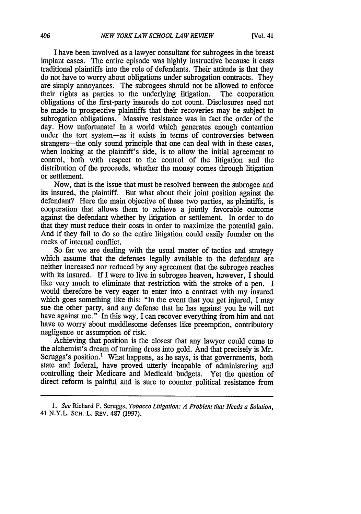I have been involved as a lawyer consultant for subrogees in the breast implant cases. The entire episode was highly instructive because it casts traditional plaintiffs into the role of defendants. Their attitude is that they do not have to worry about obligations under subrogation contracts. They are simply annoyances. The subrogees should not be allowed to enforce their rights as parties to the underlying litigation. The cooperation their rights as parties to the underlying litigation. obligations of the first-party insureds do not count. Disclosures need not be made to prospective plaintiffs that their recoveries may be subject to subrogation obligations. Massive resistance was in fact the order of the day. How unfortunate! In a world which generates enough contention under the tort system-as it exists in terms of controversies between strangers—the only sound principle that one can deal with in these cases, when looking at the plaintiff's side, is to allow the initial agreement to control, both with respect to the control of the litigation and the distribution of the proceeds, whether the money comes through litigation or settlement.

Now, that is the issue that must be resolved between the subrogee and its insured, the plaintiff. But what about their joint position against the defendant? Here the main objective of these two parties, as plaintiffs, is cooperation that allows them to achieve a jointly favorable outcome against the defendant whether by litigation or settlement. In order to do that they must reduce their costs in order to maximize the potential gain. And if they fail to do so the entire litigation could easily founder on the rocks of internal conflict.

So far we are dealing with the usual matter of tactics and strategy which assume that the defenses legally available to the defendant are neither increased nor reduced by any agreement that the subrogee reaches with its insured. If I were to live in subrogee heaven, however, I should like very much to eliminate that restriction with the stroke of a pen. I would therefore be very eager to enter into a contract with my insured which goes something like this: "In the event that you get injured, I may sue the other party, and any defense that he has against you he will not have against me." In this way, I can recover everything from him and not have to worry about meddlesome defenses like preemption, contributory negligence or assumption of risk.

Achieving that position is the closest that any lawyer could come to the alchemist's dream of turning dross into gold. And that precisely is Mr. Scruggs's position.<sup>1</sup> What happens, as he says, is that governments, both state and federal, have proved utterly incapable of administering and controlling their Medicare and Medicaid budgets. Yet the question of direct reform is painful and is sure to counter political resistance from

*<sup>1.</sup> See* Richard F. Scruggs, *Tobacco Litigation: A Problem that Needs a Solution,* 41 N.Y.L. SCH. L. REv. 487 (1997).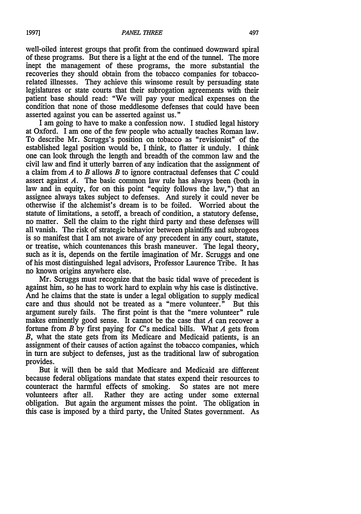well-oiled interest groups that profit from the continued downward spiral of these programs. But there is a light at the end of the tunnel. The more inept the management of these programs, the more substantial the recoveries they should obtain from the tobacco companies for tobaccorelated illnesses. They achieve this winsome result by persuading state legislatures or state courts that their subrogation agreements with their patient base should read: "We will pay your medical expenses on the condition that none of those meddlesome defenses that could have been asserted against you can be asserted against us."

I am going to have to make a confession now. I studied legal history at Oxford. I am one of the few people who actually teaches Roman law. To describe Mr. Scruggs's position on tobacco as "revisionist" of the established legal position would be, I think, to flatter it unduly. I think one can look through the length and breadth of the common law and the civil law and find it utterly barren of any indication that the assignment of a claim from *A* to *B* allows *B* to ignore contractual defenses that *C* could assert against *A.* The basic common law rule has always been (both in law and in equity, for on this point "equity follows the law,") that an assignee always takes subject to defenses. And surely it could never be otherwise if the alchemist's dream is to be foiled. Worried about the statute of limitations, a setoff, a breach of condition, a statutory defense, no matter. Sell the claim to the right third party and these defenses will all vanish. The risk of strategic behavior between plaintiffs and subrogees is so manifest that I am not aware of any precedent in any court, statute, or treatise, which countenances this brash maneuver. The legal theory, such as it is, depends on the fertile imagination of Mr. Scruggs and one of his most distinguished legal advisors, Professor Laurence Tribe. It has no known origins anywhere else.

Mr. Scruggs must recognize that the basic tidal wave of precedent is against him, so he has to work hard to explain why his case is distinctive. And he claims that the state is under a legal obligation to supply medical care and thus should not be treated as a "mere volunteer." But this argument surely fails. The first point is that the "mere volunteer" rule makes eminently good sense. It cannot be the case that *A* can recover a fortune from *B* by first paying for C's medical bills. What *A* gets from *B,* what the state gets from its Medicare and Medicaid patients, is an assignment of their causes of action against the tobacco companies, which in turn are subject to defenses, just as the traditional law of subrogation provides.

But it will then be said that Medicare and Medicaid are different because federal obligations mandate that states expend their resources to counteract the harmful effects of smoking. So states are not mere volunteers after all. Rather they are acting under some external obligation. But again the argument misses the point. The obligation in this case is imposed by a third party, the United States government. As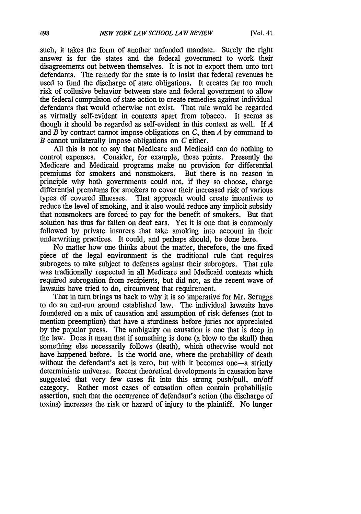such, it takes the form of another unfunded mandate. Surely the right answer is for the states and the federal government to work their disagreements out between themselves. It is not to export them onto tort defendants. The remedy for the state is to insist that federal revenues be used to fund the discharge of state obligations. It creates far too much risk of collusive behavior between state and federal government to allow the federal compulsion of state action to create remedies against individual defendants that would otherwise not exist. That rule would be regarded as virtually self-evident in contexts apart from tobacco. It seems as though it should be regarded as self-evident in this context as well. If *A* and *B* by contract cannot impose obligations on *C,* then *A* by command to *B* cannot unilaterally impose obligations on *C* either.

All this is not to say that Medicare and Medicaid can do nothing to control expenses. Consider, for example, these points. Presently the Medicare and Medicaid programs make no provision for differential premiums for smokers and nonsmokers. But there is no reason in principle why both governments could not, if they so choose, charge differential premiums for smokers to cover their increased risk of various types of covered illnesses. That approach would create incentives to reduce the level of smoking, and it also would reduce any implicit subsidy that nonsmokers are forced to pay for the benefit of smokers. But that solution has thus far fallen on deaf ears. Yet it is one that is commonly followed by private insurers that take smoking into account in their underwriting practices. It could, and perhaps should, be done here.

No matter how one thinks about the matter, therefore, the one fixed piece of the legal environment is the traditional rule that requires subrogees to take subject to defenses against their subrogors. That rule was traditionally respected in all Medicare and Medicaid contexts which required subrogation from recipients, but did not, as the recent wave of lawsuits have tried to do, circumvent that requirement.

That in turn brings us back to why it is so imperative for Mr. Scruggs to do an end-run around established law. The individual lawsuits have foundered on a mix of causation and assumption of risk defenses (not to mention preemption) that have a sturdiness before juries not appreciated by the popular press. The ambiguity on causation is one that is deep in the law. Does it mean that if something is done (a blow to the skull) then something else necessarily follows (death), which otherwise would not have happened before. Is the world one, where the probability of death without the defendant's act is zero, but with it becomes one-a strictly deterministic universe. Recent theoretical developments in causation have suggested that very few cases fit into this strong push/pull, on/off category. Rather most cases of causation often contain probabilistic assertion, such that the occurrence of defendant's action (the discharge of toxins) increases the risk or hazard of injury to the plaintiff. No longer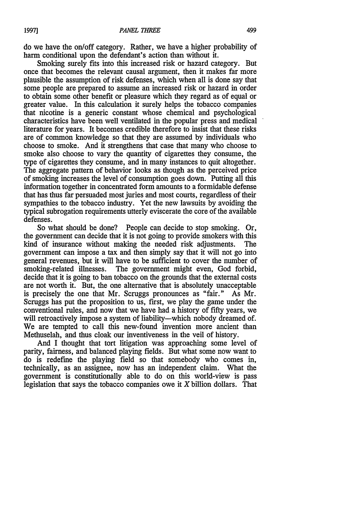do we have the on/off category. Rather, we have a higher probability of harm conditional upon the defendant's action than without it.

Smoking surely fits into this increased risk or hazard category. But once that becomes the relevant causal argument, then it makes far more plausible the assumption of risk defenses, which when all is done say that some people are prepared to assume an increased risk or hazard in order to obtain some other benefit or pleasure which they regard as of equal or greater value. In this calculation it surely helps the tobacco companies that nicotine is a generic constant whose chemical and psychological characteristics have been well ventilated in the popular press and medical literature for years. It becomes credible therefore to insist that these risks are of common knowledge so that they are assumed by individuals who choose to smoke. And it strengthens that case that many who choose to smoke also choose to vary the quantity of cigarettes they consume, the type of cigarettes they consume, and in many instances to quit altogether. The aggregate pattern of behavior looks as though as the perceived price of smoking increases the level of consumption goes down. Putting all this information together in concentrated form amounts to a formidable defense that has thus far persuaded most juries and most courts, regardless of their sympathies to the tobacco industry. Yet the new lawsuits by avoiding the typical subrogation requirements utterly eviscerate the core of the available defenses.

So what should be done? People can decide to stop smoking. Or, the government can decide that it is not going to provide smokers with this kind of insurance without making the needed risk adjustments. The government can impose a tax and then simply say that it will not go into general revenues, but it will have to be sufficient to cover the number of smoking-related illnesses. The government might even, God forbid, decide that it is going to ban tobacco on the grounds that the external costs are not worth it. But, the one alternative that is absolutely unacceptable is precisely the one that Mr. Scruggs pronounces as "fair." As Mr. Scruggs has put the proposition to us, first, we play the game under the conventional rules, and now that we have had a history of fifty years, we will retroactively impose a system of liability—which nobody dreamed of. We are tempted to call this new-found invention more ancient than Methuselah, and thus cloak our inventiveness in the veil of history.

And I thought that tort litigation was approaching some level of parity, fairness, and balanced playing fields. But what some now want to do is redefine the playing field so that somebody who comes in, technically, as an assignee, now has an independent claim. What the government is constitutionally able to do on this world-view is pass legislation that says the tobacco companies owe it  $X$  billion dollars. That